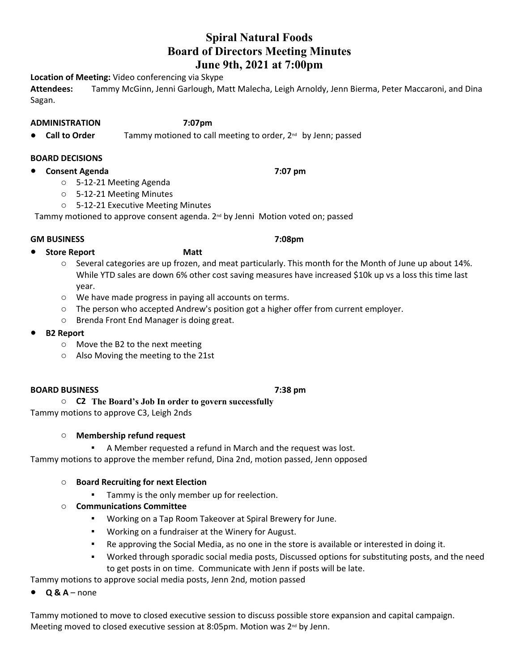# **Spiral Natural Foods Board of Directors Meeting Minutes June 9th, 2021 at 7:00pm**

**Location of Meeting:** Video conferencing via Skype

**Attendees:** Tammy McGinn, Jenni Garlough, Matt Malecha, Leigh Arnoldy, Jenn Bierma, Peter Maccaroni, and Dina Sagan.

### **ADMINISTRATION 7:07pm**

● **Call to Order** Tammy motioned to call meeting to order, 2<sup>nd</sup> by Jenn; passed

### **BOARD DECISIONS**

- **Consent Agenda 7:07 pm**
	- o 5-12-21 Meeting Agenda
	- o 5-12-21 Meeting Minutes
	- o 5-12-21 Executive Meeting Minutes

Tammy motioned to approve consent agenda. 2nd by Jenni Motion voted on; passed

## **GM BUSINESS 7:08pm**

### ● **Store Report Matt**

- o Several categories are up frozen, and meat particularly. This month for the Month of June up about 14%. While YTD sales are down 6% other cost saving measures have increased \$10k up vs a loss this time last year.
- o We have made progress in paying all accounts on terms.
- $\circ$  The person who accepted Andrew's position got a higher offer from current employer.
- o Brenda Front End Manager is doing great.
- **B2 Report** 
	- o Move the B2 to the next meeting
	- o Also Moving the meeting to the 21st

### **BOARD BUSINESS 7:38 pm**

o **C2 The Board's Job In order to govern successfully** Tammy motions to approve C3, Leigh 2nds

## o **Membership refund request**

▪ A Member requested a refund in March and the request was lost.

Tammy motions to approve the member refund, Dina 2nd, motion passed, Jenn opposed

## o **Board Recruiting for next Election**

- **•** Tammy is the only member up for reelection.
- o **Communications Committee**
	- Working on a Tap Room Takeover at Spiral Brewery for June.
	- Working on a fundraiser at the Winery for August.
	- Re approving the Social Media, as no one in the store is available or interested in doing it.
	- Worked through sporadic social media posts, Discussed options for substituting posts, and the need to get posts in on time. Communicate with Jenn if posts will be late.

Tammy motions to approve social media posts, Jenn 2nd, motion passed

● **Q & A** – none

Tammy motioned to move to closed executive session to discuss possible store expansion and capital campaign. Meeting moved to closed executive session at 8:05pm. Motion was  $2^{nd}$  by Jenn.